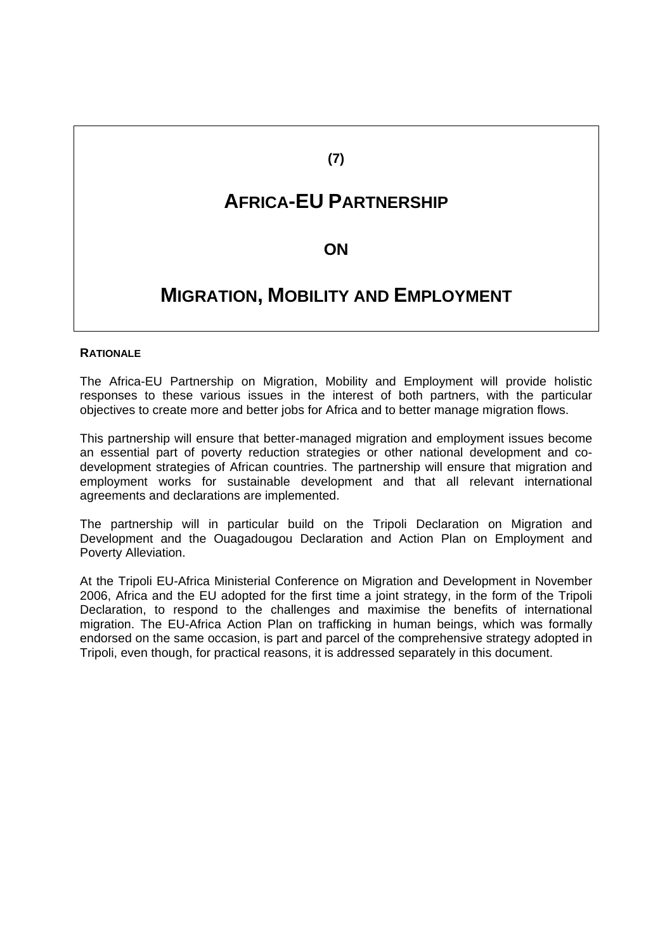# **(7)**

# **AFRICA-EU PARTNERSHIP**

# **ON**

# **MIGRATION, MOBILITY AND EMPLOYMENT**

#### **RATIONALE**

The Africa-EU Partnership on Migration, Mobility and Employment will provide holistic responses to these various issues in the interest of both partners, with the particular objectives to create more and better jobs for Africa and to better manage migration flows.

This partnership will ensure that better-managed migration and employment issues become an essential part of poverty reduction strategies or other national development and codevelopment strategies of African countries. The partnership will ensure that migration and employment works for sustainable development and that all relevant international agreements and declarations are implemented.

The partnership will in particular build on the Tripoli Declaration on Migration and Development and the Ouagadougou Declaration and Action Plan on Employment and Poverty Alleviation.

At the Tripoli EU-Africa Ministerial Conference on Migration and Development in November 2006, Africa and the EU adopted for the first time a joint strategy, in the form of the Tripoli Declaration, to respond to the challenges and maximise the benefits of international migration. The EU-Africa Action Plan on trafficking in human beings, which was formally endorsed on the same occasion, is part and parcel of the comprehensive strategy adopted in Tripoli, even though, for practical reasons, it is addressed separately in this document.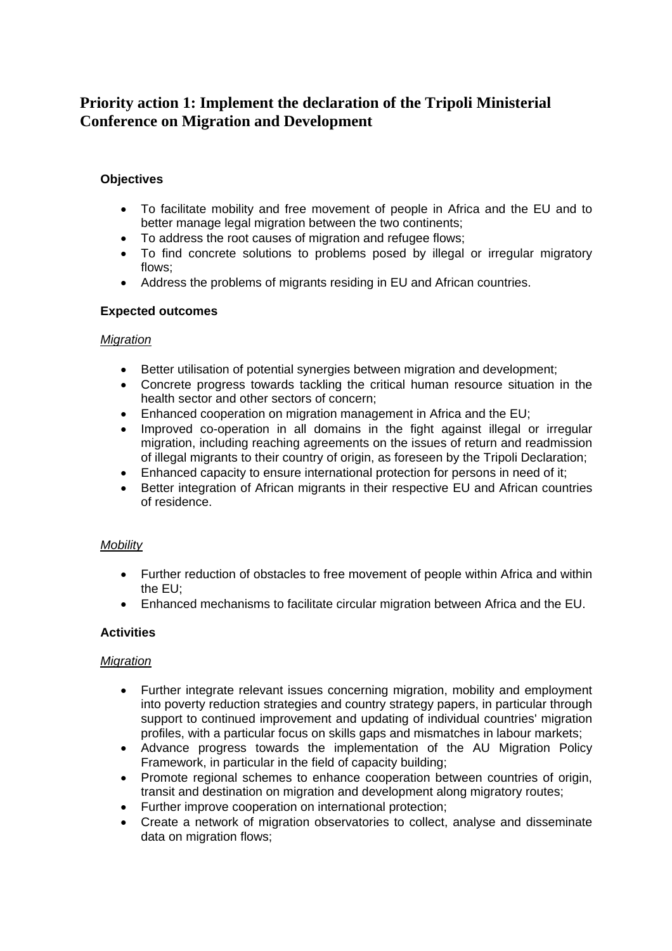# **Priority action 1: Implement the declaration of the Tripoli Ministerial Conference on Migration and Development**

# **Objectives**

- To facilitate mobility and free movement of people in Africa and the EU and to better manage legal migration between the two continents;
- To address the root causes of migration and refugee flows;
- To find concrete solutions to problems posed by illegal or irregular migratory flows;
- Address the problems of migrants residing in EU and African countries.

# **Expected outcomes**

# *Migration*

- Better utilisation of potential synergies between migration and development;
- Concrete progress towards tackling the critical human resource situation in the health sector and other sectors of concern;
- Enhanced cooperation on migration management in Africa and the EU;
- Improved co-operation in all domains in the fight against illegal or irregular migration, including reaching agreements on the issues of return and readmission of illegal migrants to their country of origin, as foreseen by the Tripoli Declaration;
- Enhanced capacity to ensure international protection for persons in need of it;
- Better integration of African migrants in their respective EU and African countries of residence.

#### *Mobility*

- Further reduction of obstacles to free movement of people within Africa and within the EU;
- Enhanced mechanisms to facilitate circular migration between Africa and the EU.

# **Activities**

#### *Migration*

- Further integrate relevant issues concerning migration, mobility and employment into poverty reduction strategies and country strategy papers, in particular through support to continued improvement and updating of individual countries' migration profiles, with a particular focus on skills gaps and mismatches in labour markets;
- Advance progress towards the implementation of the AU Migration Policy Framework, in particular in the field of capacity building;
- Promote regional schemes to enhance cooperation between countries of origin, transit and destination on migration and development along migratory routes;
- Further improve cooperation on international protection;
- Create a network of migration observatories to collect, analyse and disseminate data on migration flows;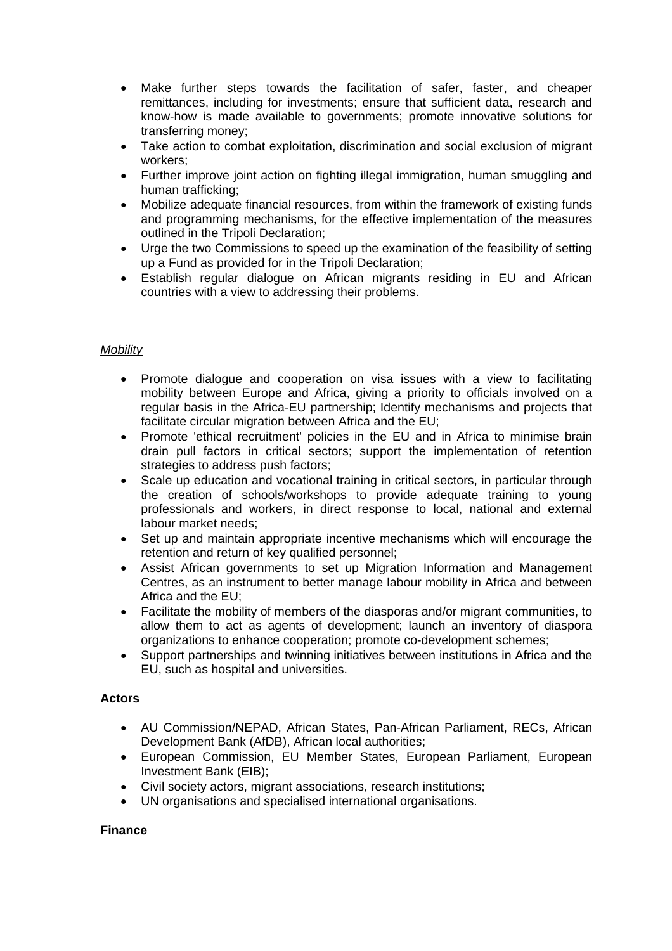- Make further steps towards the facilitation of safer, faster, and cheaper remittances, including for investments; ensure that sufficient data, research and know-how is made available to governments; promote innovative solutions for transferring money;
- Take action to combat exploitation, discrimination and social exclusion of migrant workers;
- Further improve joint action on fighting illegal immigration, human smuggling and human trafficking;
- Mobilize adequate financial resources, from within the framework of existing funds and programming mechanisms, for the effective implementation of the measures outlined in the Tripoli Declaration;
- Urge the two Commissions to speed up the examination of the feasibility of setting up a Fund as provided for in the Tripoli Declaration;
- Establish regular dialogue on African migrants residing in EU and African countries with a view to addressing their problems.

# *Mobility*

- Promote dialogue and cooperation on visa issues with a view to facilitating mobility between Europe and Africa, giving a priority to officials involved on a regular basis in the Africa-EU partnership; Identify mechanisms and projects that facilitate circular migration between Africa and the EU;
- Promote 'ethical recruitment' policies in the EU and in Africa to minimise brain drain pull factors in critical sectors; support the implementation of retention strategies to address push factors;
- Scale up education and vocational training in critical sectors, in particular through the creation of schools/workshops to provide adequate training to young professionals and workers, in direct response to local, national and external labour market needs;
- Set up and maintain appropriate incentive mechanisms which will encourage the retention and return of key qualified personnel;
- Assist African governments to set up Migration Information and Management Centres, as an instrument to better manage labour mobility in Africa and between Africa and the EU;
- Facilitate the mobility of members of the diasporas and/or migrant communities, to allow them to act as agents of development; launch an inventory of diaspora organizations to enhance cooperation; promote co-development schemes;
- Support partnerships and twinning initiatives between institutions in Africa and the EU, such as hospital and universities.

#### **Actors**

- AU Commission/NEPAD, African States, Pan-African Parliament, RECs, African Development Bank (AfDB), African local authorities;
- European Commission, EU Member States, European Parliament, European Investment Bank (EIB);
- Civil society actors, migrant associations, research institutions;
- UN organisations and specialised international organisations.

#### **Finance**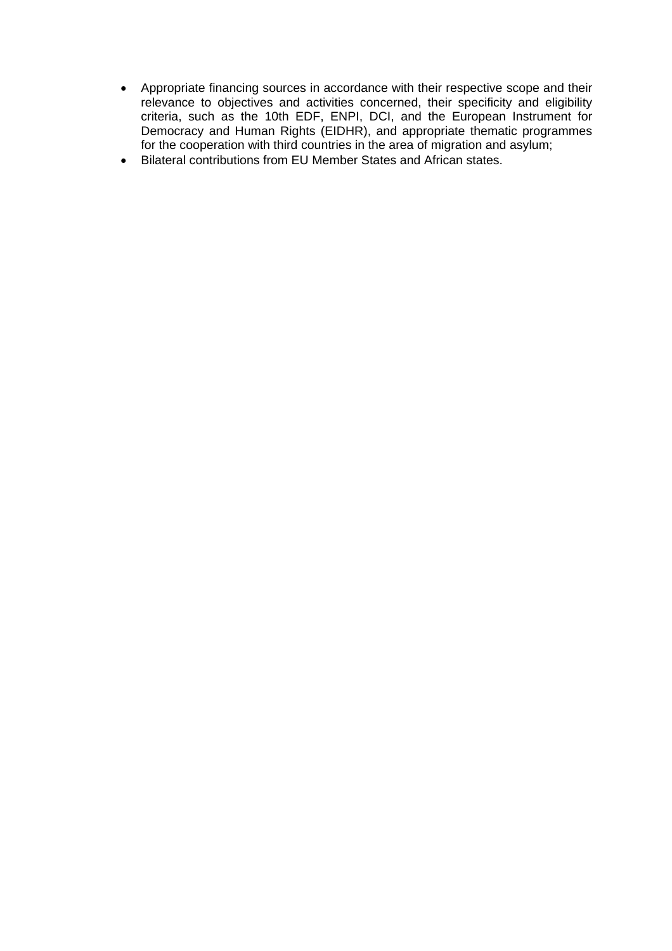- Appropriate financing sources in accordance with their respective scope and their relevance to objectives and activities concerned, their specificity and eligibility criteria, such as the 10th EDF, ENPI, DCI, and the European Instrument for Democracy and Human Rights (EIDHR), and appropriate thematic programmes for the cooperation with third countries in the area of migration and asylum;
- Bilateral contributions from EU Member States and African states.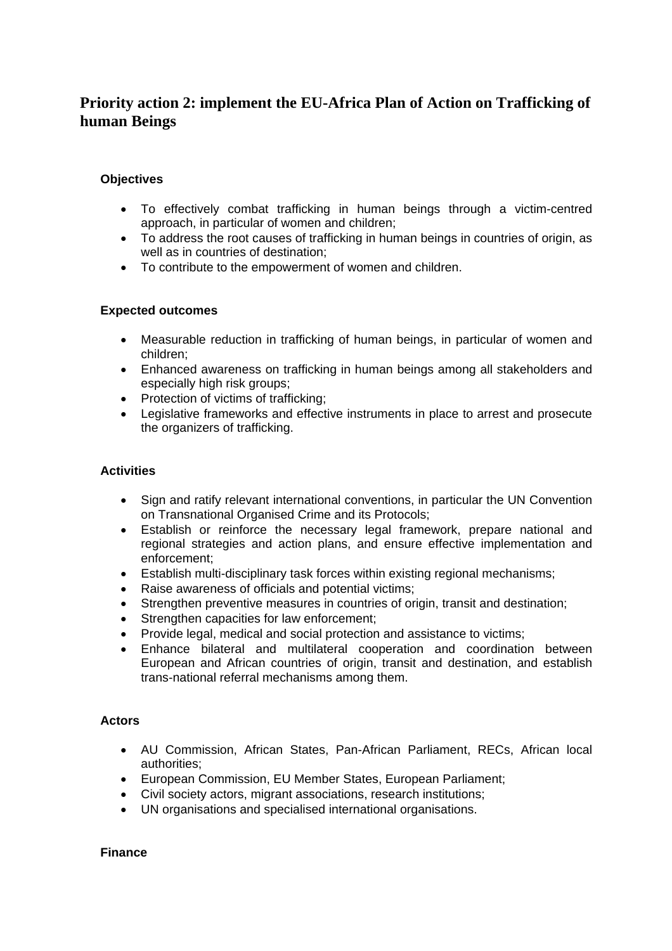# **Priority action 2: implement the EU-Africa Plan of Action on Trafficking of human Beings**

### **Objectives**

- To effectively combat trafficking in human beings through a victim-centred approach, in particular of women and children;
- To address the root causes of trafficking in human beings in countries of origin, as well as in countries of destination;
- To contribute to the empowerment of women and children.

# **Expected outcomes**

- Measurable reduction in trafficking of human beings, in particular of women and children;
- Enhanced awareness on trafficking in human beings among all stakeholders and especially high risk groups;
- Protection of victims of trafficking;
- Legislative frameworks and effective instruments in place to arrest and prosecute the organizers of trafficking.

# **Activities**

- Sign and ratify relevant international conventions, in particular the UN Convention on Transnational Organised Crime and its Protocols;
- Establish or reinforce the necessary legal framework, prepare national and regional strategies and action plans, and ensure effective implementation and enforcement;
- Establish multi-disciplinary task forces within existing regional mechanisms;
- Raise awareness of officials and potential victims;
- Strengthen preventive measures in countries of origin, transit and destination;
- Strengthen capacities for law enforcement;
- Provide legal, medical and social protection and assistance to victims;
- Enhance bilateral and multilateral cooperation and coordination between European and African countries of origin, transit and destination, and establish trans-national referral mechanisms among them.

#### **Actors**

- AU Commission, African States, Pan-African Parliament, RECs, African local authorities;
- European Commission, EU Member States, European Parliament;
- Civil society actors, migrant associations, research institutions;
- UN organisations and specialised international organisations.

#### **Finance**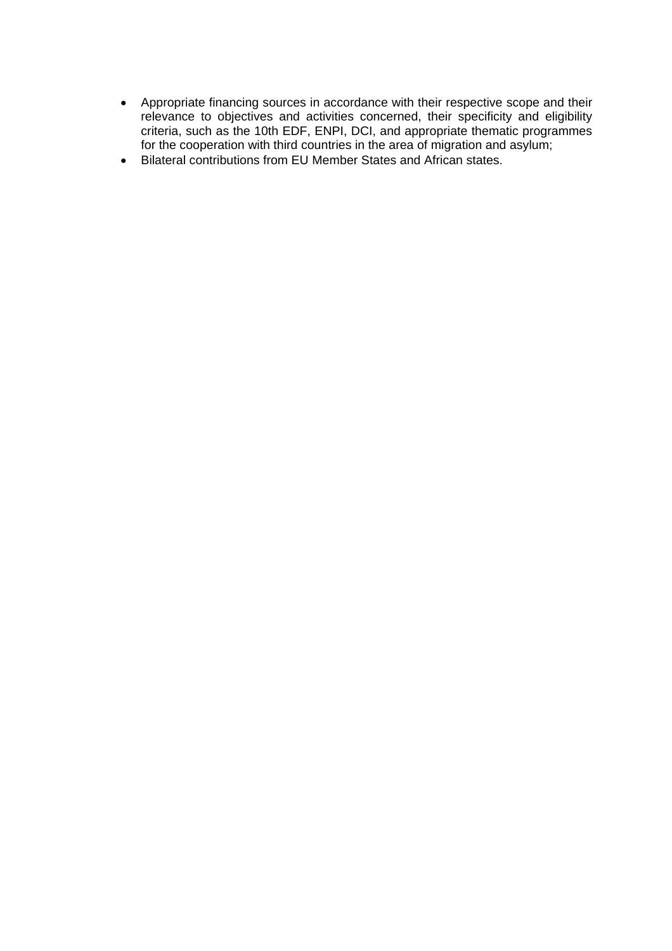- Appropriate financing sources in accordance with their respective scope and their relevance to objectives and activities concerned, their specificity and eligibility criteria, such as the 10th EDF, ENPI, DCI, and appropriate thematic programmes for the cooperation with third countries in the area of migration and asylum;
- Bilateral contributions from EU Member States and African states.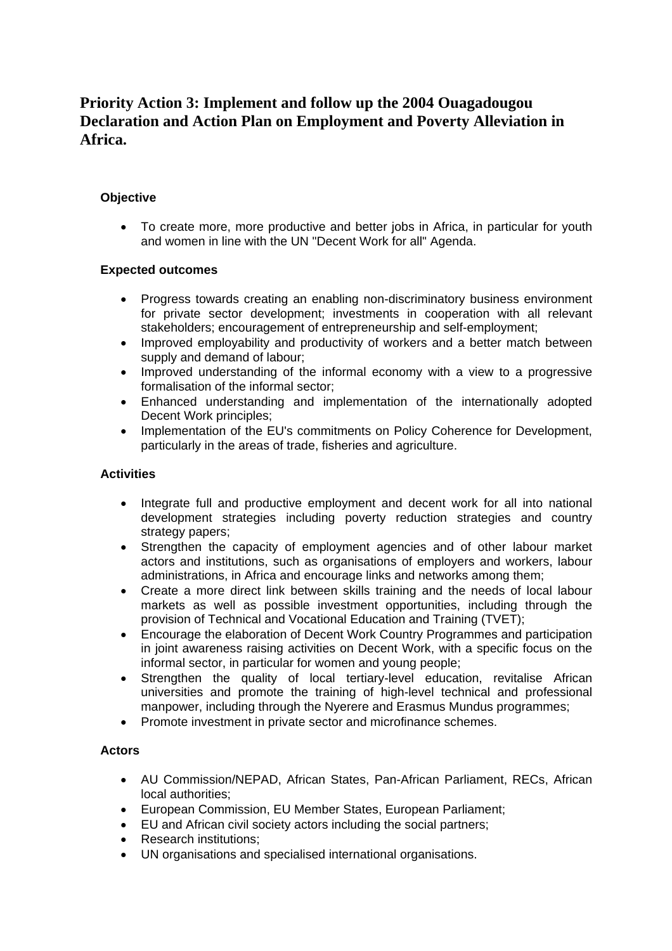# **Priority Action 3: Implement and follow up the 2004 Ouagadougou Declaration and Action Plan on Employment and Poverty Alleviation in Africa.**

# **Objective**

• To create more, more productive and better jobs in Africa, in particular for youth and women in line with the UN "Decent Work for all" Agenda.

# **Expected outcomes**

- Progress towards creating an enabling non-discriminatory business environment for private sector development; investments in cooperation with all relevant stakeholders; encouragement of entrepreneurship and self-employment;
- Improved employability and productivity of workers and a better match between supply and demand of labour;
- Improved understanding of the informal economy with a view to a progressive formalisation of the informal sector;
- Enhanced understanding and implementation of the internationally adopted Decent Work principles;
- Implementation of the EU's commitments on Policy Coherence for Development, particularly in the areas of trade, fisheries and agriculture.

### **Activities**

- Integrate full and productive employment and decent work for all into national development strategies including poverty reduction strategies and country strategy papers;
- Strengthen the capacity of employment agencies and of other labour market actors and institutions, such as organisations of employers and workers, labour administrations, in Africa and encourage links and networks among them;
- Create a more direct link between skills training and the needs of local labour markets as well as possible investment opportunities, including through the provision of Technical and Vocational Education and Training (TVET);
- Encourage the elaboration of Decent Work Country Programmes and participation in joint awareness raising activities on Decent Work, with a specific focus on the informal sector, in particular for women and young people;
- Strengthen the quality of local tertiary-level education, revitalise African universities and promote the training of high-level technical and professional manpower, including through the Nyerere and Erasmus Mundus programmes;
- Promote investment in private sector and microfinance schemes.

#### **Actors**

- AU Commission/NEPAD, African States, Pan-African Parliament, RECs, African local authorities;
- European Commission, EU Member States, European Parliament;
- EU and African civil society actors including the social partners;
- Research institutions:
- UN organisations and specialised international organisations.